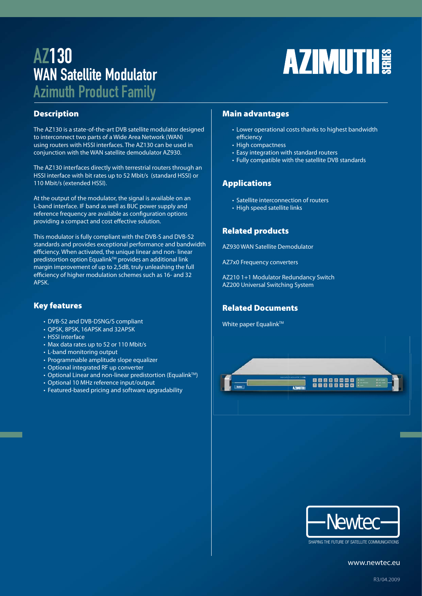# AZ130 WAN Satellite Modulator

# **AZIMUTH**

Azimuth Product Family

# **Description**

The AZ130 is a state-of-the-art DVB satellite modulator designed to interconnect two parts of a Wide Area Network (WAN) using routers with HSSI interfaces. The AZ130 can be used in conjunction with the WAN satellite demodulator AZ930.

The AZ130 interfaces directly with terrestrial routers through an HSSI interface with bit rates up to 52 Mbit/s (standard HSSI) or 110 Mbit/s (extended HSSI).

At the output of the modulator, the signal is available on an L-band interface. IF band as well as BUC power supply and reference frequency are available as configuration options providing a compact and cost effective solution.

This modulator is fully compliant with the DVB-S and DVB-S2 standards and provides exceptional performance and bandwidth efficiency. When activated, the unique linear and non-linear predistortion option Equalink<sup>™</sup> provides an additional link margin improvement of up to 2,5dB, truly unleashing the full efficiency of higher modulation schemes such as 16- and 32 APSK.

# **Key features**

- DVB-S2 and DVB-DSNG/S compliant
- QPSK, 8PSK, 16APSK and 32APSK
- HSSI interface
- Max data rates up to 52 or 110 Mbit/s
- L-band monitoring output
- Programmable amplitude slope equalizer
- Optional integrated RF up converter
- Optional Linear and non-linear predistortion (EqualinkTM)
- Optional 10 MHz reference input/output
- Featured-based pricing and software upgradability

# **Main advantages**

- Lower operational costs thanks to highest bandwidth efficiency
- High compactness
- Easy integration with standard routers
- Fully compatible with the satellite DVB standards

# **Applications**

- Satellite interconnection of routers
- High speed satellite links

# **Related products**

AZ930 WAN Satellite Demodulator

AZ7x0 Frequency converters

AZ210 1+1 Modulator Redundancy Switch AZ200 Universal Switching System

# **Related Documents**

White paper Equalink™





SHAPING THE FUTURE OF SATELLITE COMMUNICATIONS

www.newtec.eu